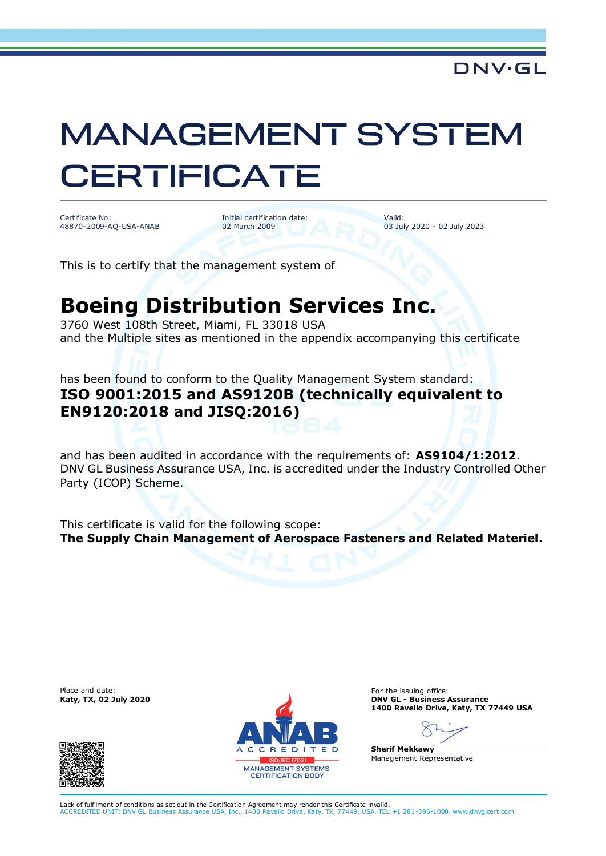## **MANAGEMENT SYSTEM CERTIFICATE**

Certificate No: 48870-2009-AQ-USA-ANAB

Initial certification date: 02 March 2009

Valid: 03 July 2020 - 02 July 2023

This is to certify that the management system of

## **Boeing Distribution Services Inc.**

3760 West 108th Street, Miami, FL 33018 USA and the Multiple sites as mentioned in the appendix accompanying this certificate

has been found to conform to the Quality Management System standard: **ISO 9001:2015 and AS9120B (technically equivalent to EN9120:2018 and JISQ:2016)**

and has been audited in accordance with the requirements of: **AS9104/1:2012**. DNV GL Business Assurance USA, Inc. is accredited under the Industry Controlled Other Party (ICOP) Scheme.

This certificate is valid for the following scope: **The Supply Chain Management of Aerospace Fasteners and Related Materiel.**

Place and date: For the issuing office:<br> **For the issuing office:** For the issuing office:<br> **For the issuing office:** For the issuing office:





**Katy, TX, 02 July 2020 DNV GL - Business Assurance 1400 Ravello Drive, Katy, TX 77449 USA**

**Sherif Mekkawy** Management Representative

Lack of fulfilment of conditions as set out in the Certification Agreement may render this Certificate invalid.<br>ACCREDITED UNIT: DNV GL Business Assurance USA. Inc., 1400 Ravello Drive, Katy, TX, 77449, USA. TEL: ACCREDITED UNIT: DNV GL Business Assurance USA, Inc., 1400 Ravello Drive, Katy, TX, 77449, USA. TEL:+1 281-396-1000. www .dnvglcert.com